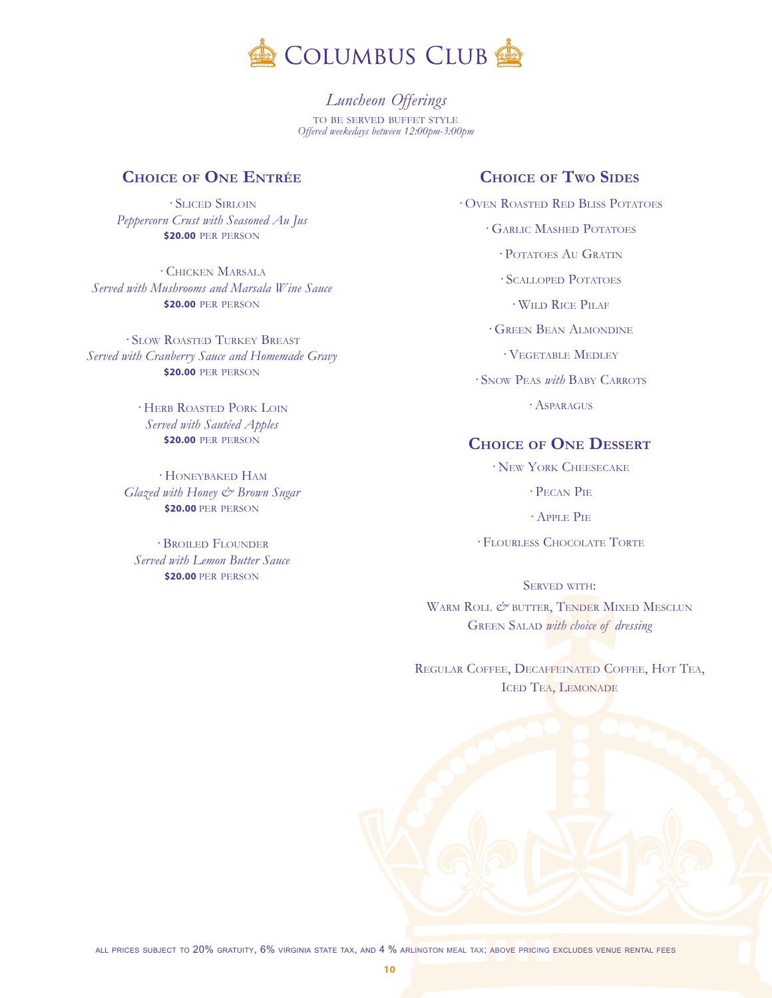

*<sup>L</sup>uncheon Offerings* to be served buffet style *Offered weekedays between 12:00pm-3:00pm*

## **Choice of One Entrée**

· Sliced Sirloin *Peppercorn Crust with Seasoned Au Jus* **\$20.00** per person

· Chicken Marsala *Served with Mushrooms and Marsala Wine Sauce* **\$20.00** per person

· Slow Roasted Turkey Breast *Served with Cranberry Sauce and Homemade Gravy* **\$20.00** per person

> · Herb Roasted Pork Loin *Served with Sautéed Apples* **\$20.00** per person

· Honeybaked Ham *Glazed with Honey & Brown Sugar* **\$20.00** per person

· Broiled Flounder *Served with Lemon Butter Sauce* **\$20.00** per person

## **Choice of Two Sides**

· Oven Roasted Red Bliss Potatoes · Garlic Mashed Potatoes · Potatoes Au Gratin · Scalloped Potatoes · Wild Rice Pilaf · Green Bean Almondine · Vegetable Medley

· Snow Peas *with* Baby Carrots

· Asparagus

## **Choice of One Dessert**

· New York Cheesecake

· Pecan Pie

· Apple Pie

· Flourless Chocolate Torte

SERVED WITH: WARM ROLL  $\mathcal{O}$ <sup>\*</sup> BUTTER, TENDER MIXED MESCLUN Green Salad *with choice of dressing*

Regular Coffee, Decaffeinated Coffee, Hot Tea, ICED TEA, LEMONADE

all prices subject to 20% gratuity, 6% virginia state tax, and 4 % arlington meal tax; above pricing excludes venue rental fees